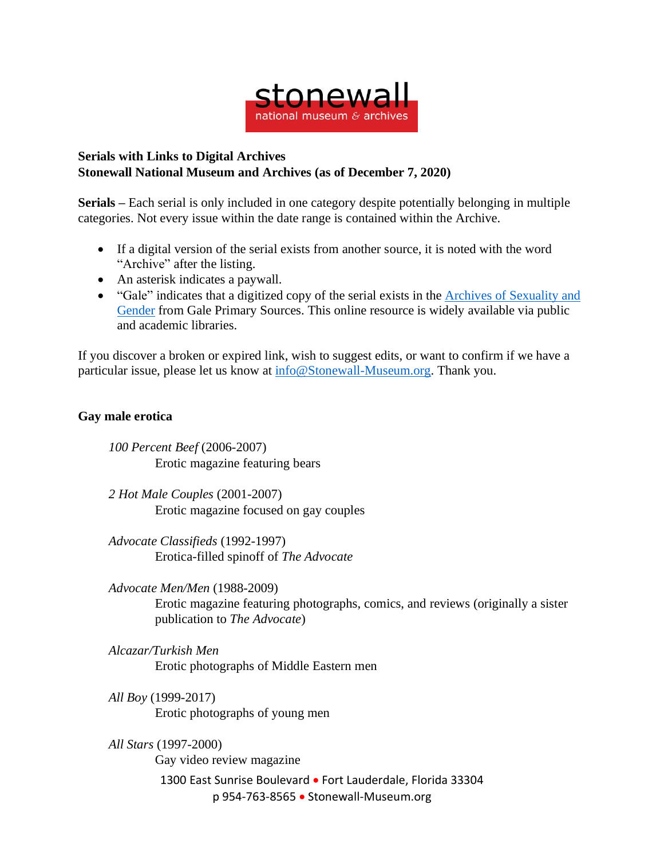

## **Serials with Links to Digital Archives Stonewall National Museum and Archives (as of December 7, 2020)**

**Serials –** Each serial is only included in one category despite potentially belonging in multiple categories. Not every issue within the date range is contained within the Archive.

- If a digital version of the serial exists from another source, it is noted with the word "Archive" after the listing.
- An asterisk indicates a paywall.
- "Gale" indicates that a digitized copy of the serial exists in the Archives of [Sexuality](https://www.gale.com/primary-sources/archives-of-sexuality-and-gender) and [Gender](https://www.gale.com/primary-sources/archives-of-sexuality-and-gender) from Gale Primary Sources. This online resource is widely available via public and academic libraries.

If you discover a broken or expired link, wish to suggest edits, or want to confirm if we have a particular issue, please let us know at [info@Stonewall-Museum.org.](mailto:info@Stonewall-Museum.org) Thank you.

## **Gay male erotica**

*100 Percent Beef* (2006-2007) Erotic magazine featuring bears

*2 Hot Male Couples* (2001-2007) Erotic magazine focused on gay couples

*Advocate Classifieds* (1992-1997) Erotica-filled spinoff of *The Advocate*

*Advocate Men/Men* (1988-2009) Erotic magazine featuring photographs, comics, and reviews (originally a sister publication to *The Advocate*)

- *Alcazar/Turkish Men* Erotic photographs of Middle Eastern men
- *All Boy* (1999-2017) Erotic photographs of young men

1300 East Sunrise Boulevard • Fort Lauderdale, Florida 33304 p 954-763-8565 • Stonewall-Museum.org *All Stars* (1997-2000) Gay video review magazine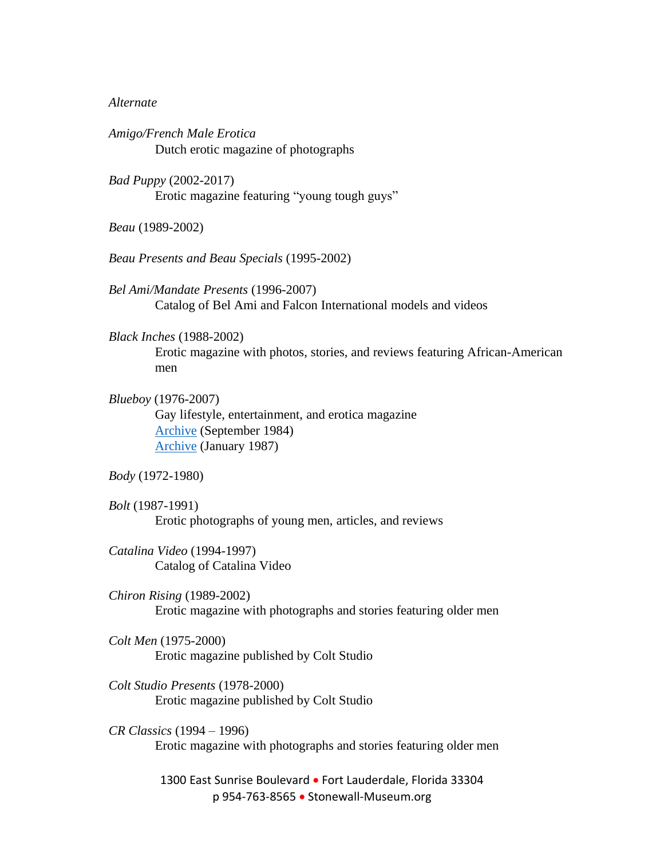## *Alternate*

*Amigo/French Male Erotica* Dutch erotic magazine of photographs

*Bad Puppy* (2002-2017) Erotic magazine featuring "young tough guys"

*Beau* (1989-2002)

*Beau Presents and Beau Specials* (1995-2002)

*Bel Ami/Mandate Presents* (1996-2007) Catalog of Bel Ami and Falcon International models and videos

*Black Inches* (1988-2002) Erotic magazine with photos, stories, and reviews featuring African-American men

*Blueboy* (1976-2007) Gay lifestyle, entertainment, and erotica magazine [Archive](https://archive.org/details/BlueboySept1984Vol91) (September 1984) [Archive](https://archive.org/details/BlueboyVol10No6/mode/2up) (January 1987)

*Body* (1972-1980)

*Bolt* (1987-1991) Erotic photographs of young men, articles, and reviews

*Catalina Video* (1994-1997) Catalog of Catalina Video

*Chiron Rising* (1989-2002) Erotic magazine with photographs and stories featuring older men

*Colt Men* (1975-2000) Erotic magazine published by Colt Studio

*Colt Studio Presents* (1978-2000) Erotic magazine published by Colt Studio

*CR Classics* (1994 – 1996) Erotic magazine with photographs and stories featuring older men

> 1300 East Sunrise Boulevard · Fort Lauderdale, Florida 33304 p 954-763-8565 • Stonewall-Museum.org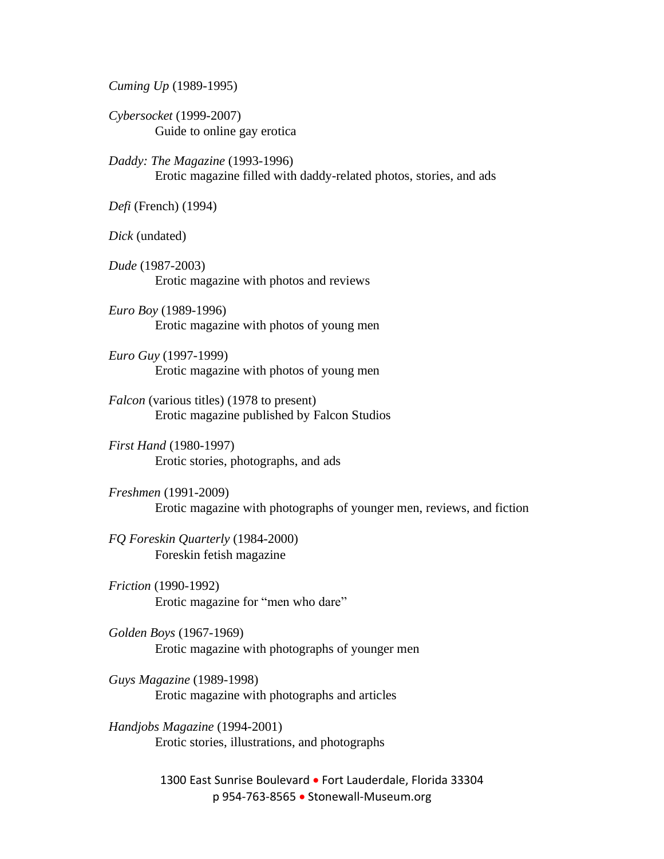*Cuming Up* (1989-1995)

*Cybersocket* (1999-2007) Guide to online gay erotica

*Daddy: The Magazine* (1993-1996) Erotic magazine filled with daddy-related photos, stories, and ads

*Defi* (French) (1994)

*Dick* (undated)

*Dude* (1987-2003) Erotic magazine with photos and reviews

*Euro Boy* (1989-1996) Erotic magazine with photos of young men

*Euro Guy* (1997-1999) Erotic magazine with photos of young men

*Falcon* (various titles) (1978 to present) Erotic magazine published by Falcon Studios

*First Hand* (1980-1997) Erotic stories, photographs, and ads

*Freshmen* (1991-2009) Erotic magazine with photographs of younger men, reviews, and fiction

*FQ Foreskin Quarterly* (1984-2000) Foreskin fetish magazine

*Friction* (1990-1992) Erotic magazine for "men who dare"

*Golden Boys* (1967-1969) Erotic magazine with photographs of younger men

*Guys Magazine* (1989-1998) Erotic magazine with photographs and articles

*Handjobs Magazine* (1994-2001) Erotic stories, illustrations, and photographs

> 1300 East Sunrise Boulevard · Fort Lauderdale, Florida 33304 p 954-763-8565 • Stonewall-Museum.org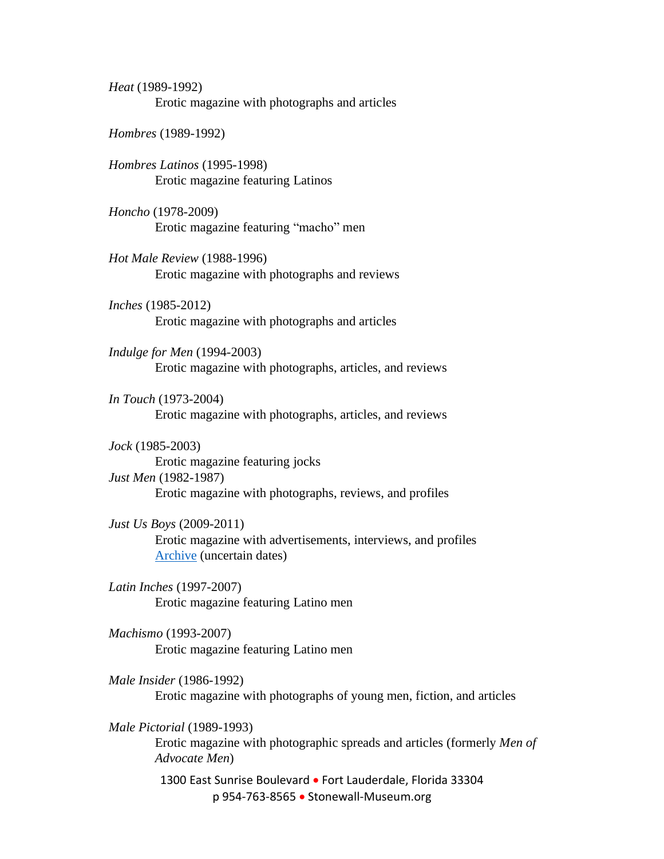*Heat* (1989-1992) Erotic magazine with photographs and articles

*Hombres* (1989-1992)

*Hombres Latinos* (1995-1998) Erotic magazine featuring Latinos

*Honcho* (1978-2009) Erotic magazine featuring "macho" men

*Hot Male Review* (1988-1996) Erotic magazine with photographs and reviews

*Inches* (1985-2012) Erotic magazine with photographs and articles

*Indulge for Men* (1994-2003) Erotic magazine with photographs, articles, and reviews

*In Touch* (1973-2004) Erotic magazine with photographs, articles, and reviews

*Jock* (1985-2003) Erotic magazine featuring jocks *Just Men* (1982-1987) Erotic magazine with photographs, reviews, and profiles

*Just Us Boys* (2009-2011) Erotic magazine with advertisements, interviews, and profiles [Archive](https://www.justusboys.com/magazine.html) (uncertain dates)

*Latin Inches* (1997-2007) Erotic magazine featuring Latino men

*Machismo* (1993-2007) Erotic magazine featuring Latino men

*Male Insider* (1986-1992) Erotic magazine with photographs of young men, fiction, and articles

*Male Pictorial* (1989-1993) Erotic magazine with photographic spreads and articles (formerly *Men of Advocate Men*)

> 1300 East Sunrise Boulevard • Fort Lauderdale, Florida 33304 p 954-763-8565 • Stonewall-Museum.org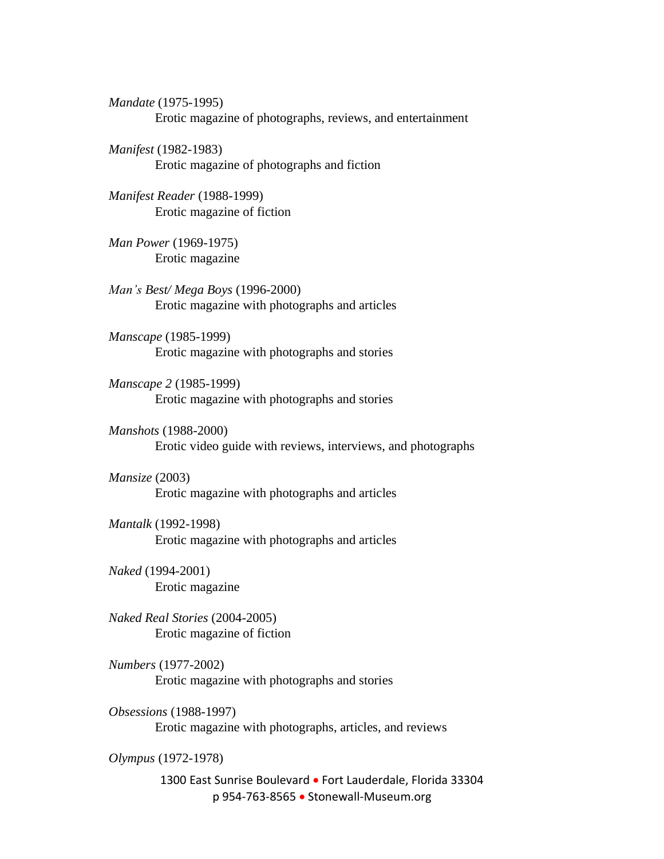*Mandate* (1975-1995) Erotic magazine of photographs, reviews, and entertainment

*Manifest* (1982-1983) Erotic magazine of photographs and fiction

*Manifest Reader* (1988-1999) Erotic magazine of fiction

*Man Power* (1969-1975) Erotic magazine

*Man's Best/ Mega Boys* (1996-2000) Erotic magazine with photographs and articles

*Manscape* (1985-1999) Erotic magazine with photographs and stories

*Manscape 2* (1985-1999) Erotic magazine with photographs and stories

*Manshots* (1988-2000) Erotic video guide with reviews, interviews, and photographs

*Mansize* (2003) Erotic magazine with photographs and articles

*Mantalk* (1992-1998) Erotic magazine with photographs and articles

*Naked* (1994-2001) Erotic magazine

*Naked Real Stories* (2004-2005) Erotic magazine of fiction

*Numbers* (1977-2002) Erotic magazine with photographs and stories

*Obsessions* (1988-1997) Erotic magazine with photographs, articles, and reviews

*Olympus* (1972-1978)

1300 East Sunrise Boulevard • Fort Lauderdale, Florida 33304 p 954-763-8565 • Stonewall-Museum.org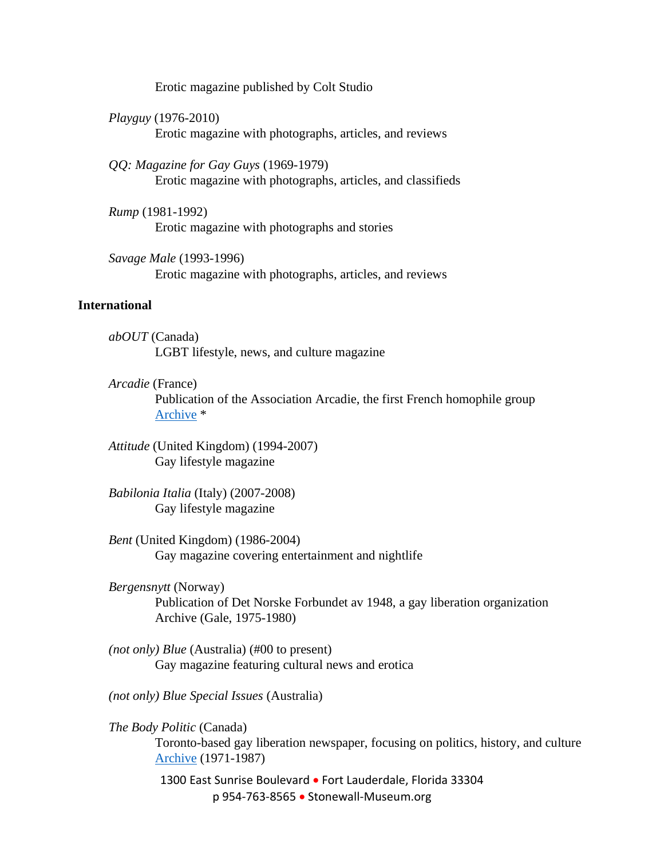Erotic magazine published by Colt Studio

*Playguy* (1976-2010) Erotic magazine with photographs, articles, and reviews

*QQ: Magazine for Gay Guys* (1969-1979) Erotic magazine with photographs, articles, and classifieds

*Rump* (1981-1992) Erotic magazine with photographs and stories

*Savage Male* (1993-1996) Erotic magazine with photographs, articles, and reviews

## **International**

*abOUT* (Canada) LGBT lifestyle, news, and culture magazine

*Arcadie* (France)

Publication of the Association Arcadie, the first French homophile group [Archive](https://proquest.libguides.com/lgbtmagazinearchive) \*

*Attitude* (United Kingdom) (1994-2007) Gay lifestyle magazine

*Babilonia Italia* (Italy) (2007-2008) Gay lifestyle magazine

*Bent* (United Kingdom) (1986-2004) Gay magazine covering entertainment and nightlife

*Bergensnytt* (Norway) Publication of Det Norske Forbundet av 1948, a gay liberation organization Archive (Gale, 1975-1980)

*(not only) Blue* (Australia) (#00 to present) Gay magazine featuring cultural news and erotica

*(not only) Blue Special Issues* (Australia)

*The Body Politic* (Canada) Toronto-based gay liberation newspaper, focusing on politics, history, and culture [Archive](https://archive.org/details/canadianmuseumforhumanrights?and%5B%5D=body+politic&sin=&sort=date) (1971-1987)

> 1300 East Sunrise Boulevard · Fort Lauderdale, Florida 33304 p 954-763-8565 • Stonewall-Museum.org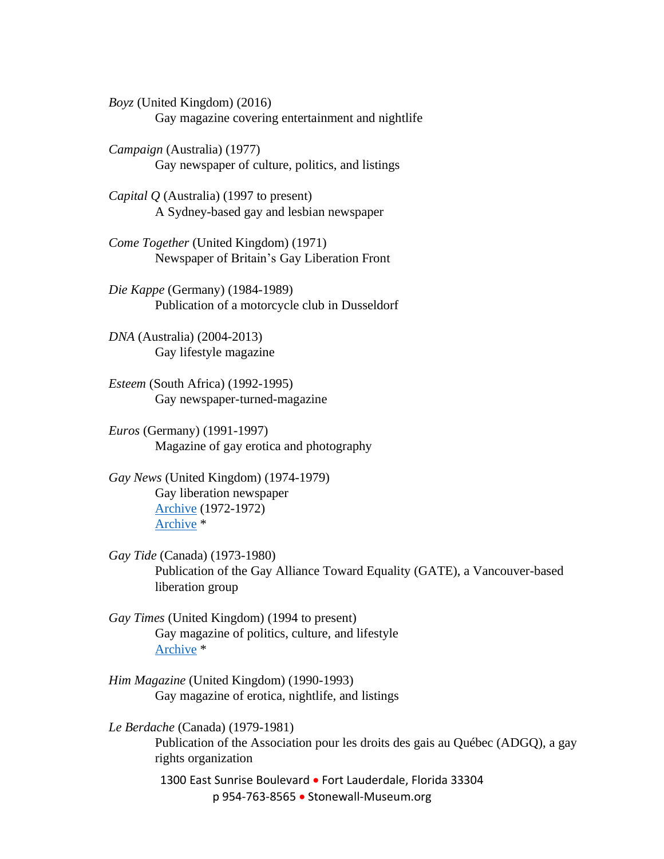*Boyz* (United Kingdom) (2016) Gay magazine covering entertainment and nightlife

*Campaign* (Australia) (1977) Gay newspaper of culture, politics, and listings

*Capital Q* (Australia) (1997 to present) A Sydney-based gay and lesbian newspaper

*Come Together* (United Kingdom) (1971) Newspaper of Britain's Gay Liberation Front

*Die Kappe* (Germany) (1984-1989) Publication of a motorcycle club in Dusseldorf

*DNA* (Australia) (2004-2013) Gay lifestyle magazine

*Esteem* (South Africa) (1992-1995) Gay newspaper-turned-magazine

*Euros* (Germany) (1991-1997) Magazine of gay erotica and photography

*Gay News* (United Kingdom) (1974-1979) Gay liberation newspaper [Archive](http://gaynews.fighting-words.co.uk/) (1972-1972) [Archive](https://proquest.libguides.com/lgbtmagazinearchive) \*

- *Gay Tide* (Canada) (1973-1980) Publication of the Gay Alliance Toward Equality (GATE), a Vancouver-based liberation group
- *Gay Times* (United Kingdom) (1994 to present) Gay magazine of politics, culture, and lifestyle [Archive](https://proquest.libguides.com/lgbtmagazinearchive) \*
- *Him Magazine* (United Kingdom) (1990-1993) Gay magazine of erotica, nightlife, and listings

*Le Berdache* (Canada) (1979-1981) Publication of the Association pour les droits des gais au Québec (ADGQ), a gay rights organization

> 1300 East Sunrise Boulevard • Fort Lauderdale, Florida 33304 p 954-763-8565 • Stonewall-Museum.org